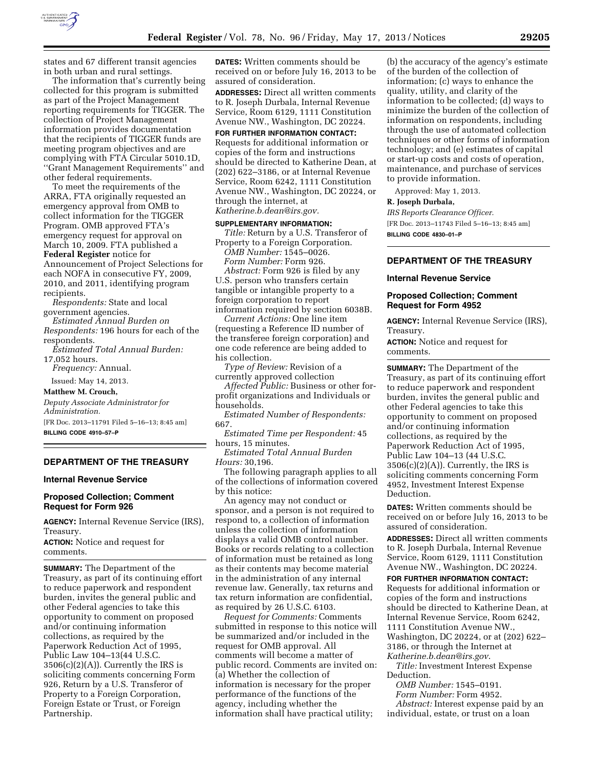

states and 67 different transit agencies in both urban and rural settings.

The information that's currently being collected for this program is submitted as part of the Project Management reporting requirements for TIGGER. The collection of Project Management information provides documentation that the recipients of TIGGER funds are meeting program objectives and are complying with FTA Circular 5010.1D, ''Grant Management Requirements'' and other federal requirements.

To meet the requirements of the ARRA, FTA originally requested an emergency approval from OMB to collect information for the TIGGER Program. OMB approved FTA's emergency request for approval on March 10, 2009. FTA published a **Federal Register** notice for Announcement of Project Selections for each NOFA in consecutive FY, 2009, 2010, and 2011, identifying program recipients.

*Respondents:* State and local government agencies.

*Estimated Annual Burden on Respondents:* 196 hours for each of the respondents.

*Estimated Total Annual Burden:*  17,052 hours.

*Frequency:* Annual.

Issued: May 14, 2013.

**Matthew M. Crouch,** 

*Deputy Associate Administrator for Administration.* 

[FR Doc. 2013–11791 Filed 5–16–13; 8:45 am] **BILLING CODE 4910–57–P** 

### **DEPARTMENT OF THE TREASURY**

### **Internal Revenue Service**

# **Proposed Collection; Comment Request for Form 926**

**AGENCY:** Internal Revenue Service (IRS), Treasury.

**ACTION:** Notice and request for comments.

**SUMMARY:** The Department of the Treasury, as part of its continuing effort to reduce paperwork and respondent burden, invites the general public and other Federal agencies to take this opportunity to comment on proposed and/or continuing information collections, as required by the Paperwork Reduction Act of 1995, Public Law 104–13(44 U.S.C.  $3506(c)(2)(A)$ . Currently the IRS is soliciting comments concerning Form 926, Return by a U.S. Transferor of Property to a Foreign Corporation, Foreign Estate or Trust, or Foreign Partnership.

**DATES:** Written comments should be received on or before July 16, 2013 to be assured of consideration.

**ADDRESSES:** Direct all written comments to R. Joseph Durbala, Internal Revenue Service, Room 6129, 1111 Constitution Avenue NW., Washington, DC 20224.

**FOR FURTHER INFORMATION CONTACT:** 

Requests for additional information or copies of the form and instructions should be directed to Katherine Dean, at (202) 622–3186, or at Internal Revenue Service, Room 6242, 1111 Constitution Avenue NW., Washington, DC 20224, or through the internet, at *[Katherine.b.dean@irs.gov.](mailto:Katherine.b.dean@irs.gov)* 

#### **SUPPLEMENTARY INFORMATION:**

*Title:* Return by a U.S. Transferor of Property to a Foreign Corporation.

*OMB Number:* 1545–0026. *Form Number:* Form 926.

*Abstract:* Form 926 is filed by any U.S. person who transfers certain tangible or intangible property to a foreign corporation to report information required by section 6038B.

*Current Actions:* One line item

(requesting a Reference ID number of the transferee foreign corporation) and one code reference are being added to his collection.

*Type of Review:* Revision of a currently approved collection

*Affected Public:* Business or other forprofit organizations and Individuals or households.

*Estimated Number of Respondents:*  667.

*Estimated Time per Respondent:* 45 hours, 15 minutes.

*Estimated Total Annual Burden Hours:* 30,196.

The following paragraph applies to all of the collections of information covered by this notice:

An agency may not conduct or sponsor, and a person is not required to respond to, a collection of information unless the collection of information displays a valid OMB control number. Books or records relating to a collection of information must be retained as long as their contents may become material in the administration of any internal revenue law. Generally, tax returns and tax return information are confidential, as required by 26 U.S.C. 6103.

*Request for Comments:* Comments submitted in response to this notice will be summarized and/or included in the request for OMB approval. All comments will become a matter of public record. Comments are invited on: (a) Whether the collection of information is necessary for the proper performance of the functions of the agency, including whether the information shall have practical utility;

(b) the accuracy of the agency's estimate of the burden of the collection of information; (c) ways to enhance the quality, utility, and clarity of the information to be collected; (d) ways to minimize the burden of the collection of information on respondents, including through the use of automated collection techniques or other forms of information technology; and (e) estimates of capital or start-up costs and costs of operation, maintenance, and purchase of services to provide information.

Approved: May 1, 2013.

**R. Joseph Durbala,** 

*IRS Reports Clearance Officer.*  [FR Doc. 2013–11743 Filed 5–16–13; 8:45 am] **BILLING CODE 4830–01–P** 

# **DEPARTMENT OF THE TREASURY**

### **Internal Revenue Service**

## **Proposed Collection; Comment Request for Form 4952**

**AGENCY:** Internal Revenue Service (IRS), Treasury.

**ACTION:** Notice and request for comments.

**SUMMARY:** The Department of the Treasury, as part of its continuing effort to reduce paperwork and respondent burden, invites the general public and other Federal agencies to take this opportunity to comment on proposed and/or continuing information collections, as required by the Paperwork Reduction Act of 1995, Public Law 104–13 (44 U.S.C.  $3506(c)(2)(A)$ . Currently, the IRS is soliciting comments concerning Form 4952, Investment Interest Expense Deduction.

**DATES:** Written comments should be received on or before July 16, 2013 to be assured of consideration.

**ADDRESSES:** Direct all written comments to R. Joseph Durbala, Internal Revenue Service, Room 6129, 1111 Constitution Avenue NW., Washington, DC 20224.

**FOR FURTHER INFORMATION CONTACT:** 

Requests for additional information or copies of the form and instructions should be directed to Katherine Dean, at Internal Revenue Service, Room 6242, 1111 Constitution Avenue NW., Washington, DC 20224, or at (202) 622– 3186, or through the Internet at *[Katherine.b.dean@irs.gov](mailto:Katherine.b.dean@irs.gov)*.

*Title:* Investment Interest Expense Deduction.

*OMB Number:* 1545–0191.

*Form Number:* Form 4952. *Abstract:* Interest expense paid by an individual, estate, or trust on a loan